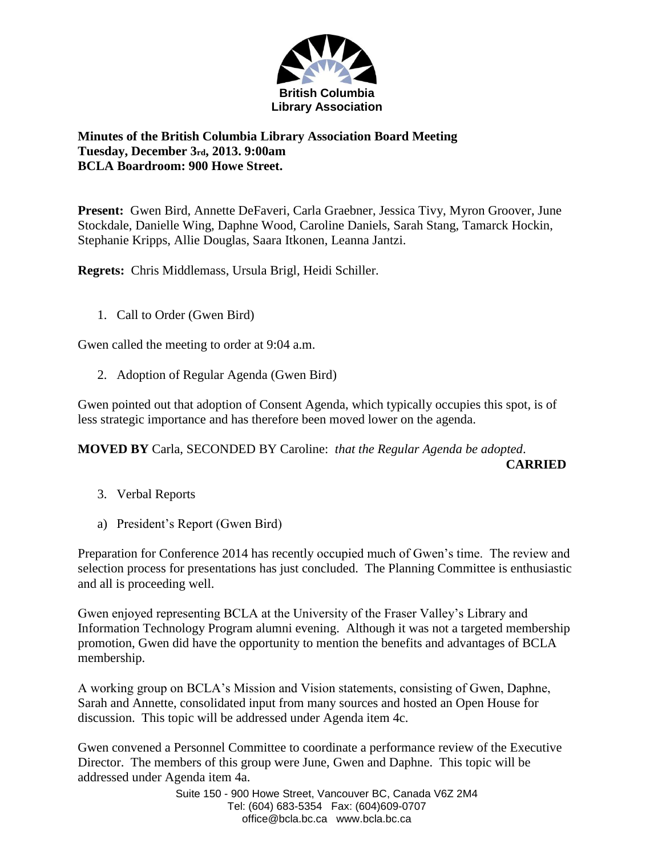

## **Minutes of the British Columbia Library Association Board Meeting Tuesday, December 3rd, 2013. 9:00am BCLA Boardroom: 900 Howe Street.**

**Present:** Gwen Bird, Annette DeFaveri, Carla Graebner, Jessica Tivy, Myron Groover, June Stockdale, Danielle Wing, Daphne Wood, Caroline Daniels, Sarah Stang, Tamarck Hockin, Stephanie Kripps, Allie Douglas, Saara Itkonen, Leanna Jantzi.

**Regrets:** Chris Middlemass, Ursula Brigl, Heidi Schiller.

1. Call to Order (Gwen Bird)

Gwen called the meeting to order at 9:04 a.m.

2. Adoption of Regular Agenda (Gwen Bird)

Gwen pointed out that adoption of Consent Agenda, which typically occupies this spot, is of less strategic importance and has therefore been moved lower on the agenda.

**MOVED BY** Carla, SECONDED BY Caroline: *that the Regular Agenda be adopted*. **CARRIED**

- 3. Verbal Reports
- a) President's Report (Gwen Bird)

Preparation for Conference 2014 has recently occupied much of Gwen's time. The review and selection process for presentations has just concluded. The Planning Committee is enthusiastic and all is proceeding well.

Gwen enjoyed representing BCLA at the University of the Fraser Valley's Library and Information Technology Program alumni evening. Although it was not a targeted membership promotion, Gwen did have the opportunity to mention the benefits and advantages of BCLA membership.

A working group on BCLA's Mission and Vision statements, consisting of Gwen, Daphne, Sarah and Annette, consolidated input from many sources and hosted an Open House for discussion. This topic will be addressed under Agenda item 4c.

Gwen convened a Personnel Committee to coordinate a performance review of the Executive Director. The members of this group were June, Gwen and Daphne. This topic will be addressed under Agenda item 4a.

> Suite 150 - 900 Howe Street, Vancouver BC, Canada V6Z 2M4 Tel: (604) 683-5354 Fax: (604)609-0707 office@bcla.bc.ca www.bcla.bc.ca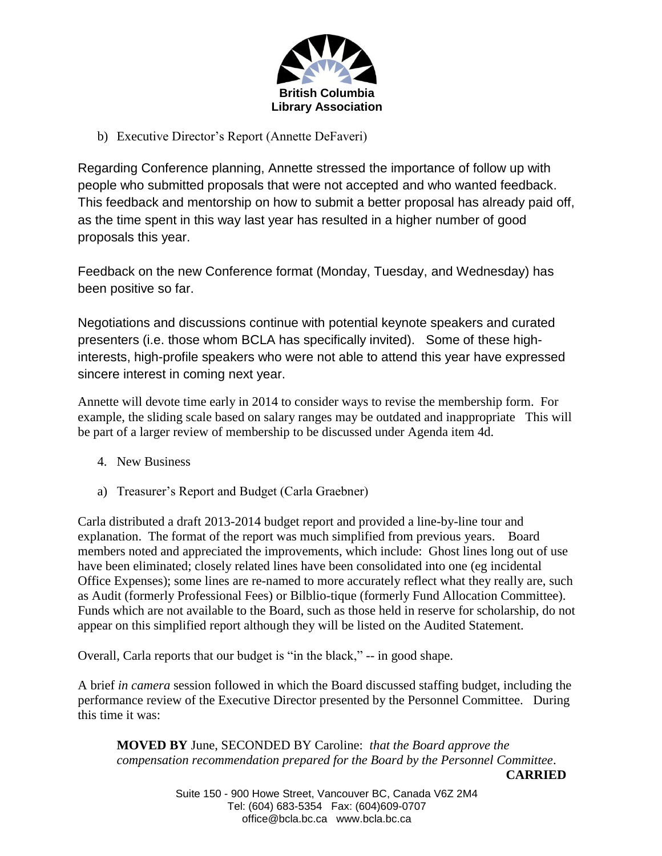

## b) Executive Director's Report (Annette DeFaveri)

Regarding Conference planning, Annette stressed the importance of follow up with people who submitted proposals that were not accepted and who wanted feedback. This feedback and mentorship on how to submit a better proposal has already paid off, as the time spent in this way last year has resulted in a higher number of good proposals this year.

Feedback on the new Conference format (Monday, Tuesday, and Wednesday) has been positive so far.

Negotiations and discussions continue with potential keynote speakers and curated presenters (i.e. those whom BCLA has specifically invited). Some of these highinterests, high-profile speakers who were not able to attend this year have expressed sincere interest in coming next year.

Annette will devote time early in 2014 to consider ways to revise the membership form. For example, the sliding scale based on salary ranges may be outdated and inappropriate This will be part of a larger review of membership to be discussed under Agenda item 4d.

- 4. New Business
- a) Treasurer's Report and Budget (Carla Graebner)

Carla distributed a draft 2013-2014 budget report and provided a line-by-line tour and explanation. The format of the report was much simplified from previous years. Board members noted and appreciated the improvements, which include: Ghost lines long out of use have been eliminated; closely related lines have been consolidated into one (eg incidental Office Expenses); some lines are re-named to more accurately reflect what they really are, such as Audit (formerly Professional Fees) or Bilblio-tique (formerly Fund Allocation Committee). Funds which are not available to the Board, such as those held in reserve for scholarship, do not appear on this simplified report although they will be listed on the Audited Statement.

Overall, Carla reports that our budget is "in the black," -- in good shape.

A brief *in camera* session followed in which the Board discussed staffing budget, including the performance review of the Executive Director presented by the Personnel Committee. During this time it was:

**MOVED BY** June, SECONDED BY Caroline: *that the Board approve the compensation recommendation prepared for the Board by the Personnel Committee*.

**CARRIED**

Suite 150 - 900 Howe Street, Vancouver BC, Canada V6Z 2M4 Tel: (604) 683-5354 Fax: (604)609-0707 office@bcla.bc.ca www.bcla.bc.ca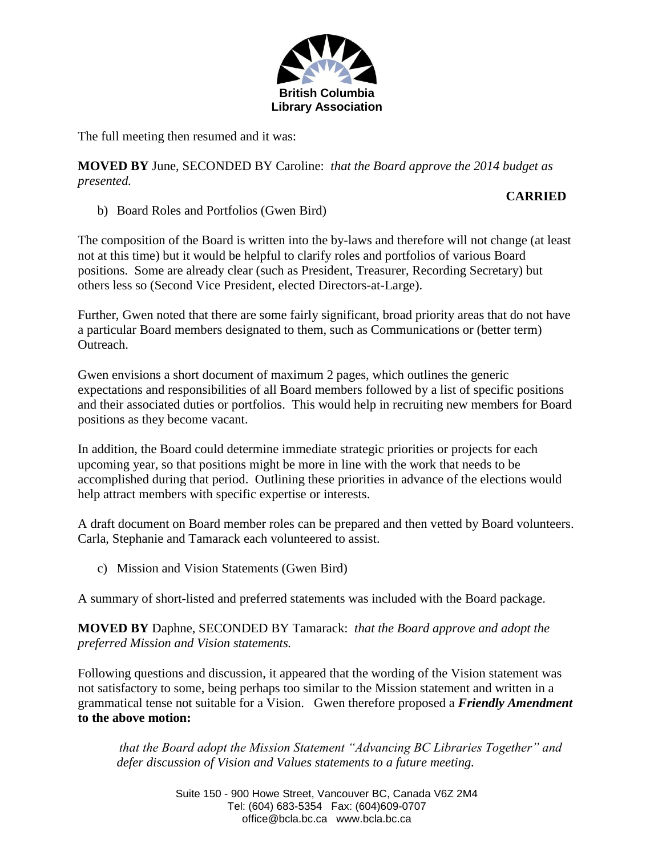

The full meeting then resumed and it was:

**MOVED BY** June, SECONDED BY Caroline: *that the Board approve the 2014 budget as presented.* 

## **CARRIED**

b) Board Roles and Portfolios (Gwen Bird)

The composition of the Board is written into the by-laws and therefore will not change (at least not at this time) but it would be helpful to clarify roles and portfolios of various Board positions. Some are already clear (such as President, Treasurer, Recording Secretary) but others less so (Second Vice President, elected Directors-at-Large).

Further, Gwen noted that there are some fairly significant, broad priority areas that do not have a particular Board members designated to them, such as Communications or (better term) Outreach.

Gwen envisions a short document of maximum 2 pages, which outlines the generic expectations and responsibilities of all Board members followed by a list of specific positions and their associated duties or portfolios. This would help in recruiting new members for Board positions as they become vacant.

In addition, the Board could determine immediate strategic priorities or projects for each upcoming year, so that positions might be more in line with the work that needs to be accomplished during that period. Outlining these priorities in advance of the elections would help attract members with specific expertise or interests.

A draft document on Board member roles can be prepared and then vetted by Board volunteers. Carla, Stephanie and Tamarack each volunteered to assist.

c) Mission and Vision Statements (Gwen Bird)

A summary of short-listed and preferred statements was included with the Board package.

**MOVED BY** Daphne, SECONDED BY Tamarack: *that the Board approve and adopt the preferred Mission and Vision statements.* 

Following questions and discussion, it appeared that the wording of the Vision statement was not satisfactory to some, being perhaps too similar to the Mission statement and written in a grammatical tense not suitable for a Vision. Gwen therefore proposed a *Friendly Amendment* **to the above motion:**

*that the Board adopt the Mission Statement "Advancing BC Libraries Together" and defer discussion of Vision and Values statements to a future meeting.*

> Suite 150 - 900 Howe Street, Vancouver BC, Canada V6Z 2M4 Tel: (604) 683-5354 Fax: (604)609-0707 office@bcla.bc.ca www.bcla.bc.ca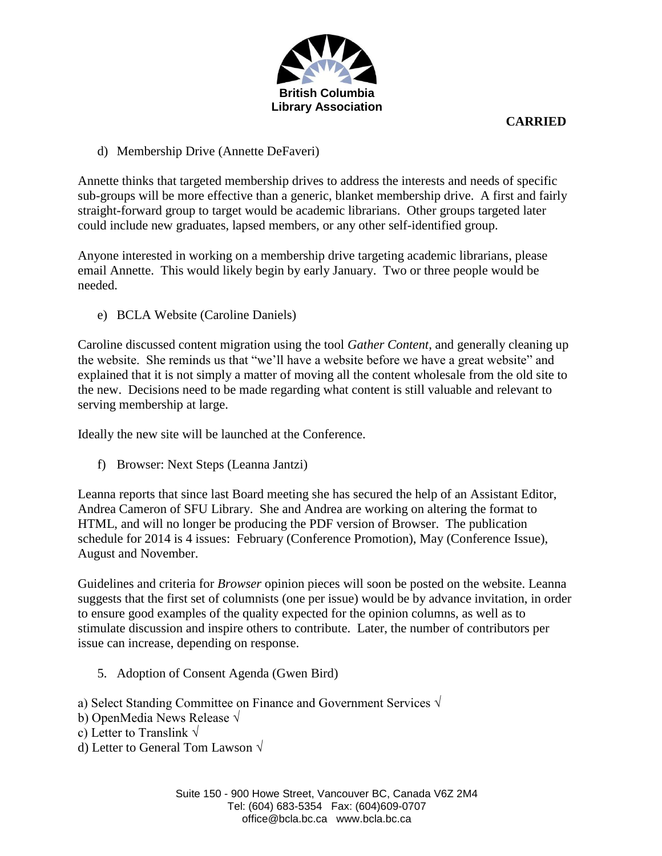

**CARRIED**

d) Membership Drive (Annette DeFaveri)

Annette thinks that targeted membership drives to address the interests and needs of specific sub-groups will be more effective than a generic, blanket membership drive. A first and fairly straight-forward group to target would be academic librarians. Other groups targeted later could include new graduates, lapsed members, or any other self-identified group.

Anyone interested in working on a membership drive targeting academic librarians, please email Annette. This would likely begin by early January. Two or three people would be needed.

e) BCLA Website (Caroline Daniels)

Caroline discussed content migration using the tool *Gather Content*, and generally cleaning up the website. She reminds us that "we'll have a website before we have a great website" and explained that it is not simply a matter of moving all the content wholesale from the old site to the new. Decisions need to be made regarding what content is still valuable and relevant to serving membership at large.

Ideally the new site will be launched at the Conference.

f) Browser: Next Steps (Leanna Jantzi)

Leanna reports that since last Board meeting she has secured the help of an Assistant Editor, Andrea Cameron of SFU Library. She and Andrea are working on altering the format to HTML, and will no longer be producing the PDF version of Browser. The publication schedule for 2014 is 4 issues: February (Conference Promotion), May (Conference Issue), August and November.

Guidelines and criteria for *Browser* opinion pieces will soon be posted on the website. Leanna suggests that the first set of columnists (one per issue) would be by advance invitation, in order to ensure good examples of the quality expected for the opinion columns, as well as to stimulate discussion and inspire others to contribute. Later, the number of contributors per issue can increase, depending on response.

5. Adoption of Consent Agenda (Gwen Bird)

a) Select Standing Committee on Finance and Government Services √

- b) OpenMedia News Release √
- c) Letter to Translink √
- d) Letter to General Tom Lawson √